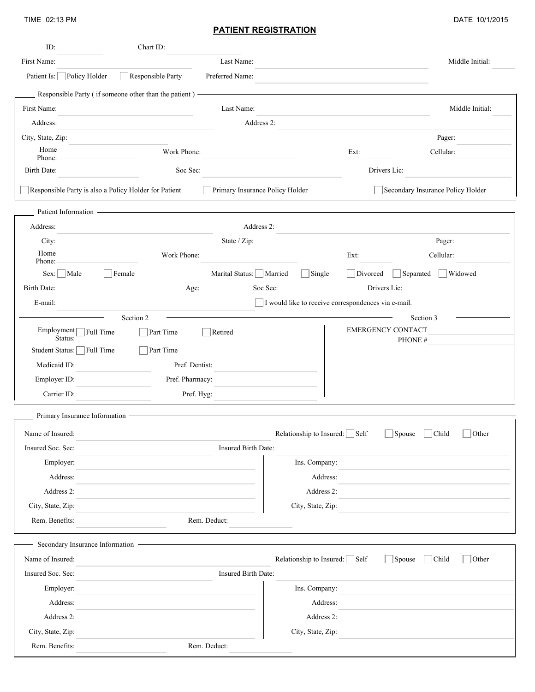TIME 02:13 PM

| ID:                           | Chart ID:                                               |                                 |                                                     |                                            |
|-------------------------------|---------------------------------------------------------|---------------------------------|-----------------------------------------------------|--------------------------------------------|
| First Name:                   |                                                         | Last Name:                      |                                                     | Middle Initial:                            |
| Patient Is: Policy Holder     | Responsible Party                                       | Preferred Name:                 |                                                     |                                            |
|                               | Responsible Party (if someone other than the patient) - |                                 |                                                     |                                            |
| First Name:                   |                                                         | Last Name:                      |                                                     | Middle Initial:                            |
| Address:                      |                                                         | Address 2:                      |                                                     |                                            |
| City, State, Zip:             |                                                         |                                 |                                                     | Pager:                                     |
| Home<br>Phone:                | Work Phone:                                             |                                 | Ext:                                                | Cellular:                                  |
| Birth Date:                   | Soc Sec:                                                |                                 |                                                     | Drivers Lic:                               |
|                               | Responsible Party is also a Policy Holder for Patient   | Primary Insurance Policy Holder |                                                     | Secondary Insurance Policy Holder          |
| Patient Information -         |                                                         |                                 |                                                     |                                            |
| Address:                      |                                                         | Address 2:                      |                                                     |                                            |
| City:                         |                                                         | State / Zip:                    |                                                     | Pager:                                     |
| Home<br>Phone:                | Work Phone:                                             |                                 | Ext:                                                | Cellular:                                  |
| Sex:   Male                   | Female                                                  | Marital Status: Married         | $\Box$ Single<br>Divorced                           | Widowed<br>Separated                       |
| Birth Date:                   | Age:                                                    | Soc Sec:                        |                                                     | Drivers Lic:                               |
| E-mail:                       |                                                         |                                 | I would like to receive correspondences via e-mail. |                                            |
|                               | Section 2                                               |                                 |                                                     | Section 3                                  |
| Employment<br>Status:         | Full Time<br>$\Box$ Part Time                           | Retired                         |                                                     | <b>EMERGENCY CONTACT</b><br>PHONE #        |
| Student Status:               | Full Time<br>Part Time                                  |                                 |                                                     |                                            |
| Medicaid ID:                  | Pref. Dentist:                                          |                                 |                                                     |                                            |
| Employer ID:                  | Pref. Pharmacy:                                         |                                 |                                                     |                                            |
| Carrier ID:                   | Pref. Hyg:                                              |                                 |                                                     |                                            |
| Primary Insurance Information |                                                         |                                 |                                                     |                                            |
| Name of Insured:              |                                                         |                                 | Relationship to Insured: Self                       | $\Box$ Spouse $\Box$ Child<br>$\Box$ Other |
| Insured Soc. Sec:             |                                                         | Insured Birth Date:             |                                                     |                                            |
| Employer:                     |                                                         |                                 | Ins. Company:                                       |                                            |
| Address:                      |                                                         |                                 | Address:                                            |                                            |
| Address 2:                    |                                                         |                                 | Address 2:                                          |                                            |
| City, State, Zip:             |                                                         |                                 | City, State, Zip:                                   |                                            |
| Rem. Benefits:                |                                                         | Rem. Deduct:                    |                                                     |                                            |
|                               | Secondary Insurance Information                         |                                 |                                                     |                                            |
| Name of Insured:              |                                                         |                                 | Relationship to Insured: $\Box$ Self                | $\Box$ Spouse<br>$\Box$ Other<br> Child    |
| Insured Soc. Sec:             |                                                         | Insured Birth Date:             |                                                     |                                            |
| Employer:                     |                                                         |                                 | Ins. Company:                                       |                                            |
| Address:                      |                                                         |                                 | Address:                                            |                                            |
| Address 2:                    |                                                         |                                 | Address 2:                                          |                                            |
| City, State, Zip:             |                                                         |                                 | City, State, Zip:                                   |                                            |
| Rem. Benefits:                |                                                         | Rem. Deduct:                    |                                                     |                                            |
|                               |                                                         |                                 |                                                     |                                            |